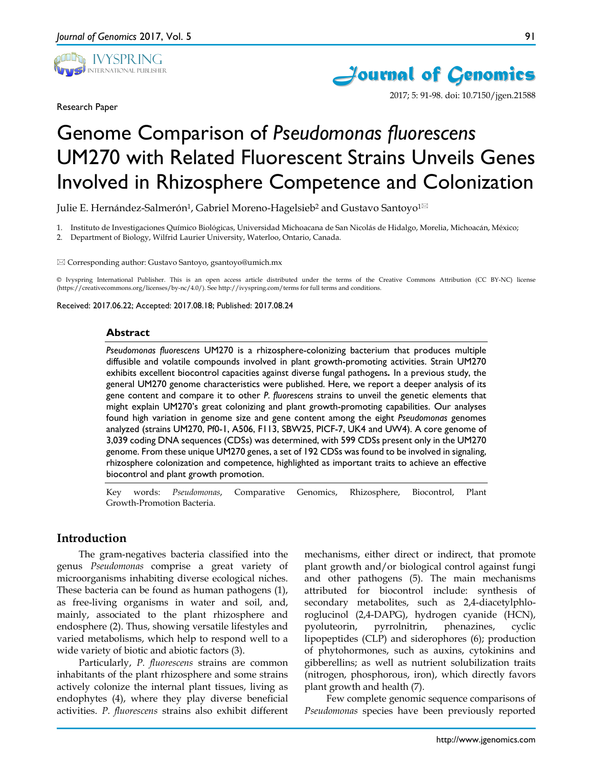

Research Paper



2017; 5: 91-98. doi: 10.7150/jgen.21588

# Genome Comparison of *Pseudomonas fluorescens*  UM270 with Related Fluorescent Strains Unveils Genes Involved in Rhizosphere Competence and Colonization

Julie E. Hernández-Salmerón<sup>1</sup>, Gabriel Moreno-Hagelsieb<sup>2</sup> and Gustavo Santoyo<sup>1⊠</sup>

1. Instituto de Investigaciones Químico Biológicas, Universidad Michoacana de San Nicolás de Hidalgo, Morelia, Michoacán, México;

2. Department of Biology, Wilfrid Laurier University, Waterloo, Ontario, Canada.

Corresponding author: Gustavo Santoyo, gsantoyo@umich.mx

© Ivyspring International Publisher. This is an open access article distributed under the terms of the Creative Commons Attribution (CC BY-NC) license (https://creativecommons.org/licenses/by-nc/4.0/). See http://ivyspring.com/terms for full terms and conditions.

Received: 2017.06.22; Accepted: 2017.08.18; Published: 2017.08.24

#### **Abstract**

*Pseudomonas fluorescens* UM270 is a rhizosphere-colonizing bacterium that produces multiple diffusible and volatile compounds involved in plant growth-promoting activities. Strain UM270 exhibits excellent biocontrol capacities against diverse fungal pathogens*.* In a previous study, the general UM270 genome characteristics were published. Here, we report a deeper analysis of its gene content and compare it to other *P. fluorescens* strains to unveil the genetic elements that might explain UM270's great colonizing and plant growth-promoting capabilities. Our analyses found high variation in genome size and gene content among the eight *Pseudomonas* genomes analyzed (strains UM270, Pf0-1, A506, F113, SBW25, PICF-7, UK4 and UW4). A core genome of 3,039 coding DNA sequences (CDSs) was determined, with 599 CDSs present only in the UM270 genome. From these unique UM270 genes, a set of 192 CDSs was found to be involved in signaling, rhizosphere colonization and competence, highlighted as important traits to achieve an effective biocontrol and plant growth promotion.

Key words: *Pseudomonas*, Comparative Genomics, Rhizosphere, Biocontrol, Plant Growth-Promotion Bacteria.

## **Introduction**

The gram-negatives bacteria classified into the genus *Pseudomonas* comprise a great variety of microorganisms inhabiting diverse ecological niches. These bacteria can be found as human pathogens (1), as free-living organisms in water and soil, and, mainly, associated to the plant rhizosphere and endosphere (2). Thus, showing versatile lifestyles and varied metabolisms, which help to respond well to a wide variety of biotic and abiotic factors (3).

Particularly, *P. fluorescens* strains are common inhabitants of the plant rhizosphere and some strains actively colonize the internal plant tissues, living as endophytes (4), where they play diverse beneficial activities. *P. fluorescens* strains also exhibit different mechanisms, either direct or indirect, that promote plant growth and/or biological control against fungi and other pathogens (5). The main mechanisms attributed for biocontrol include: synthesis of secondary metabolites, such as 2,4-diacetylphloroglucinol (2,4-DAPG), hydrogen cyanide (HCN), pyoluteorin, pyrrolnitrin, phenazines, cyclic lipopeptides (CLP) and siderophores (6); production of phytohormones, such as auxins, cytokinins and gibberellins; as well as nutrient solubilization traits (nitrogen, phosphorous, iron), which directly favors plant growth and health (7).

Few complete genomic sequence comparisons of *Pseudomonas* species have been previously reported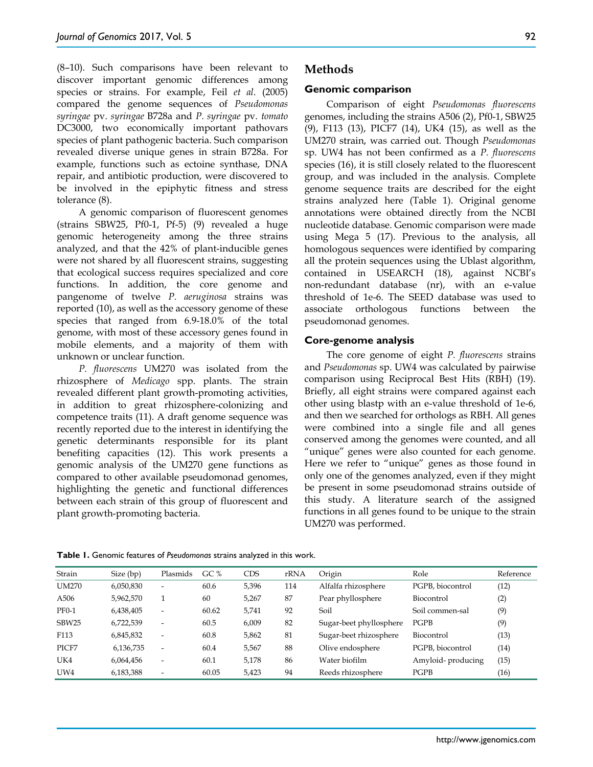(8–10). Such comparisons have been relevant to discover important genomic differences among species or strains. For example, Feil *et al*. (2005) compared the genome sequences of *Pseudomonas syringae* pv. *syringae* B728a and *P. syringae* pv. *tomato* DC3000, two economically important pathovars species of plant pathogenic bacteria. Such comparison revealed diverse unique genes in strain B728a. For example, functions such as ectoine synthase, DNA repair, and antibiotic production, were discovered to be involved in the epiphytic fitness and stress tolerance (8).

A genomic comparison of fluorescent genomes (strains SBW25, Pf0-1, Pf-5) (9) revealed a huge genomic heterogeneity among the three strains analyzed, and that the 42% of plant-inducible genes were not shared by all fluorescent strains, suggesting that ecological success requires specialized and core functions. In addition, the core genome and pangenome of twelve *P. aeruginosa* strains was reported (10), as well as the accessory genome of these species that ranged from 6.9-18.0% of the total genome, with most of these accessory genes found in mobile elements, and a majority of them with unknown or unclear function.

*P. fluorescens* UM270 was isolated from the rhizosphere of *Medicago* spp. plants. The strain revealed different plant growth-promoting activities, in addition to great rhizosphere-colonizing and competence traits (11). A draft genome sequence was recently reported due to the interest in identifying the genetic determinants responsible for its plant benefiting capacities (12). This work presents a genomic analysis of the UM270 gene functions as compared to other available pseudomonad genomes, highlighting the genetic and functional differences between each strain of this group of fluorescent and plant growth-promoting bacteria.

## **Methods**

#### **Genomic comparison**

Comparison of eight *Pseudomonas fluorescens* genomes, including the strains A506 (2), Pf0-1, SBW25 (9), F113 (13), PICF7 (14), UK4 (15), as well as the UM270 strain, was carried out. Though *Pseudomonas* sp. UW4 has not been confirmed as a *P. fluorescens* species (16), it is still closely related to the fluorescent group, and was included in the analysis. Complete genome sequence traits are described for the eight strains analyzed here (Table 1). Original genome annotations were obtained directly from the NCBI nucleotide database. Genomic comparison were made using Mega 5 (17). Previous to the analysis, all homologous sequences were identified by comparing all the protein sequences using the Ublast algorithm, contained in USEARCH (18), against NCBI's non-redundant database (nr), with an e-value threshold of 1e-6. The SEED database was used to associate orthologous functions between the pseudomonad genomes.

#### **Core-genome analysis**

The core genome of eight *P. fluorescens* strains and *Pseudomonas* sp. UW4 was calculated by pairwise comparison using Reciprocal Best Hits (RBH) (19). Briefly, all eight strains were compared against each other using blastp with an e-value threshold of 1e-6, and then we searched for orthologs as RBH. All genes were combined into a single file and all genes conserved among the genomes were counted, and all "unique" genes were also counted for each genome. Here we refer to "unique" genes as those found in only one of the genomes analyzed, even if they might be present in some pseudomonad strains outside of this study. A literature search of the assigned functions in all genes found to be unique to the strain UM270 was performed.

| Strain            | Size (bp) | Plasmids                 | GC $%$ | <b>CDS</b> | rRNA | Origin                  | Role              | Reference |
|-------------------|-----------|--------------------------|--------|------------|------|-------------------------|-------------------|-----------|
| <b>UM270</b>      | 6,050,830 | $\overline{\phantom{a}}$ | 60.6   | 5,396      | 114  | Alfalfa rhizosphere     | PGPB, biocontrol  | (12)      |
| A506              | 5,962,570 |                          | 60     | 5,267      | 87   | Pear phyllosphere       | Biocontrol        | (2)       |
| <b>PF0-1</b>      | 6,438,405 | $\overline{\phantom{a}}$ | 60.62  | 5,741      | 92   | Soil                    | Soil commen-sal   | (9)       |
| SBW <sub>25</sub> | 6,722,539 | $\overline{\phantom{a}}$ | 60.5   | 6,009      | 82   | Sugar-beet phyllosphere | PGPB              | (9)       |
| F113              | 6,845,832 | $\overline{\phantom{a}}$ | 60.8   | 5,862      | 81   | Sugar-beet rhizosphere  | Biocontrol        | (13)      |
| PICF7             | 6,136,735 | $\overline{\phantom{a}}$ | 60.4   | 5,567      | 88   | Olive endosphere        | PGPB, biocontrol  | (14)      |
| UK4               | 6,064,456 | $\overline{\phantom{a}}$ | 60.1   | 5,178      | 86   | Water biofilm           | Amyloid-producing | (15)      |
| UW <sub>4</sub>   | 6,183,388 | $\overline{\phantom{a}}$ | 60.05  | 5,423      | 94   | Reeds rhizosphere       | PGPB              | (16)      |

**Table 1.** Genomic features of *Pseudomonas* strains analyzed in this work.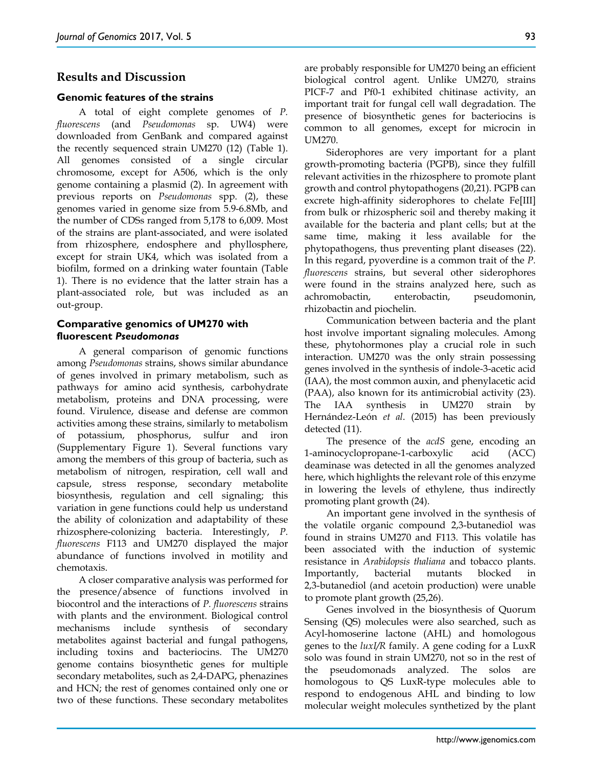## **Results and Discussion**

#### **Genomic features of the strains**

A total of eight complete genomes of *P. fluorescens* (and *Pseudomonas* sp. UW4) were downloaded from GenBank and compared against the recently sequenced strain UM270 (12) (Table 1). All genomes consisted of a single circular chromosome, except for A506, which is the only genome containing a plasmid (2). In agreement with previous reports on *Pseudomonas* spp. (2), these genomes varied in genome size from 5.9-6.8Mb, and the number of CDSs ranged from 5,178 to 6,009. Most of the strains are plant-associated, and were isolated from rhizosphere, endosphere and phyllosphere, except for strain UK4, which was isolated from a biofilm, formed on a drinking water fountain (Table 1). There is no evidence that the latter strain has a plant-associated role, but was included as an out-group.

#### **Comparative genomics of UM270 with fluorescent** *Pseudomonas*

A general comparison of genomic functions among *Pseudomonas* strains, shows similar abundance of genes involved in primary metabolism, such as pathways for amino acid synthesis, carbohydrate metabolism, proteins and DNA processing, were found. Virulence, disease and defense are common activities among these strains, similarly to metabolism of potassium, phosphorus, sulfur and iron (Supplementary Figure 1). Several functions vary among the members of this group of bacteria, such as metabolism of nitrogen, respiration, cell wall and capsule, stress response, secondary metabolite biosynthesis, regulation and cell signaling; this variation in gene functions could help us understand the ability of colonization and adaptability of these rhizosphere-colonizing bacteria. Interestingly, *P. fluorescens* F113 and UM270 displayed the major abundance of functions involved in motility and chemotaxis.

A closer comparative analysis was performed for the presence/absence of functions involved in biocontrol and the interactions of *P. fluorescens* strains with plants and the environment. Biological control mechanisms include synthesis of secondary metabolites against bacterial and fungal pathogens, including toxins and bacteriocins. The UM270 genome contains biosynthetic genes for multiple secondary metabolites, such as 2,4-DAPG, phenazines and HCN; the rest of genomes contained only one or two of these functions. These secondary metabolites

are probably responsible for UM270 being an efficient biological control agent. Unlike UM270, strains PICF-7 and Pf0-1 exhibited chitinase activity, an important trait for fungal cell wall degradation. The presence of biosynthetic genes for bacteriocins is common to all genomes, except for microcin in UM270.

Siderophores are very important for a plant growth-promoting bacteria (PGPB), since they fulfill relevant activities in the rhizosphere to promote plant growth and control phytopathogens (20,21). PGPB can excrete high-affinity siderophores to chelate Fe[III] from bulk or rhizospheric soil and thereby making it available for the bacteria and plant cells; but at the same time, making it less available for the phytopathogens, thus preventing plant diseases (22). In this regard, pyoverdine is a common trait of the *P. fluorescens* strains, but several other siderophores were found in the strains analyzed here, such as achromobactin, enterobactin, pseudomonin, rhizobactin and piochelin.

Communication between bacteria and the plant host involve important signaling molecules. Among these, phytohormones play a crucial role in such interaction. UM270 was the only strain possessing genes involved in the synthesis of indole-3-acetic acid (IAA), the most common auxin, and phenylacetic acid (PAA), also known for its antimicrobial activity (23). The IAA synthesis in UM270 strain by Hernández-León *et al*. (2015) has been previously detected (11).

The presence of the *acdS* gene, encoding an 1-aminocyclopropane-1-carboxylic acid (ACC) deaminase was detected in all the genomes analyzed here, which highlights the relevant role of this enzyme in lowering the levels of ethylene, thus indirectly promoting plant growth (24).

An important gene involved in the synthesis of the volatile organic compound 2,3-butanediol was found in strains UM270 and F113. This volatile has been associated with the induction of systemic resistance in *Arabidopsis thaliana* and tobacco plants. Importantly, bacterial mutants blocked in 2,3-butanediol (and acetoin production) were unable to promote plant growth (25,26).

Genes involved in the biosynthesis of Quorum Sensing (QS) molecules were also searched, such as Acyl-homoserine lactone (AHL) and homologous genes to the *luxI/R* family. A gene coding for a LuxR solo was found in strain UM270, not so in the rest of the pseudomonads analyzed. The solos are homologous to QS LuxR-type molecules able to respond to endogenous AHL and binding to low molecular weight molecules synthetized by the plant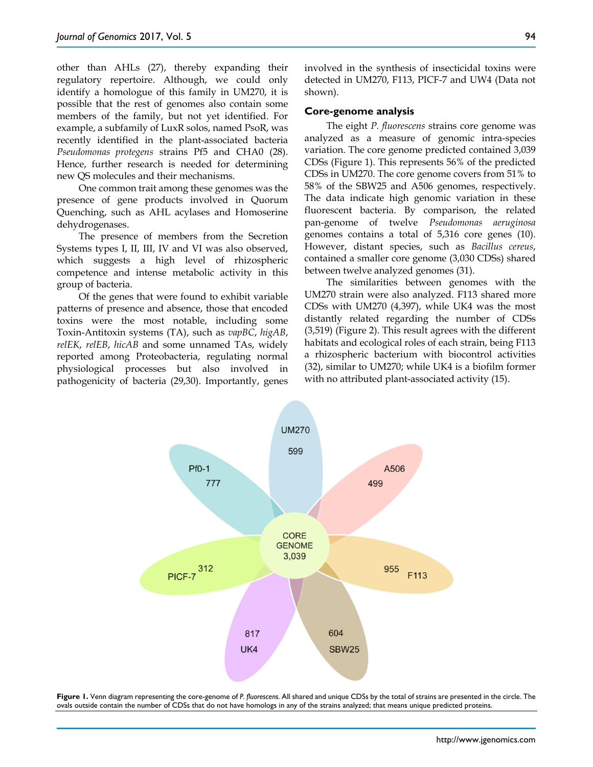other than AHLs (27), thereby expanding their regulatory repertoire. Although, we could only identify a homologue of this family in UM270, it is possible that the rest of genomes also contain some members of the family, but not yet identified. For example, a subfamily of LuxR solos, named PsoR, was recently identified in the plant-associated bacteria *Pseudomonas protegens* strains Pf5 and CHA0 (28). Hence, further research is needed for determining new QS molecules and their mechanisms.

One common trait among these genomes was the presence of gene products involved in Quorum Quenching, such as AHL acylases and Homoserine dehydrogenases.

The presence of members from the Secretion Systems types I, II, III, IV and VI was also observed, which suggests a high level of rhizospheric competence and intense metabolic activity in this group of bacteria.

Of the genes that were found to exhibit variable patterns of presence and absence, those that encoded toxins were the most notable, including some Toxin-Antitoxin systems (TA), such as *vapBC*, *higAB*, *relEK*, *relEB*, *hicAB* and some unnamed TAs, widely reported among Proteobacteria, regulating normal physiological processes but also involved in pathogenicity of bacteria (29,30). Importantly, genes

involved in the synthesis of insecticidal toxins were detected in UM270, F113, PICF-7 and UW4 (Data not shown).

#### **Core-genome analysis**

The eight *P. fluorescens* strains core genome was analyzed as a measure of genomic intra-species variation. The core genome predicted contained 3,039 CDSs (Figure 1). This represents 56% of the predicted CDSs in UM270. The core genome covers from 51% to 58% of the SBW25 and A506 genomes, respectively. The data indicate high genomic variation in these fluorescent bacteria. By comparison, the related pan-genome of twelve *Pseudomonas aeruginosa* genomes contains a total of 5,316 core genes (10). However, distant species, such as *Bacillus cereus*, contained a smaller core genome (3,030 CDSs) shared between twelve analyzed genomes (31).

The similarities between genomes with the UM270 strain were also analyzed. F113 shared more CDSs with UM270 (4,397), while UK4 was the most distantly related regarding the number of CDSs (3,519) (Figure 2). This result agrees with the different habitats and ecological roles of each strain, being F113 a rhizospheric bacterium with biocontrol activities (32), similar to UM270; while UK4 is a biofilm former with no attributed plant-associated activity (15).



**Figure 1.** Venn diagram representing the core-genome of *P. fluorescens.* All shared and unique CDSs by the total of strains are presented in the circle. The ovals outside contain the number of CDSs that do not have homologs in any of the strains analyzed; that means unique predicted proteins.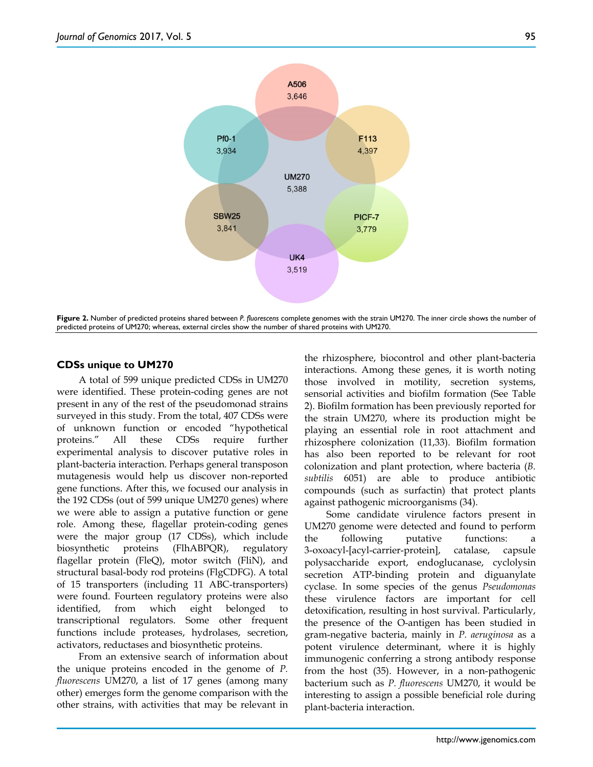

**Figure 2.** Number of predicted proteins shared between *P. fluorescens* complete genomes with the strain UM270. The inner circle shows the number of predicted proteins of UM270; whereas, external circles show the number of shared proteins with UM270.

## **CDSs unique to UM270**

A total of 599 unique predicted CDSs in UM270 were identified. These protein-coding genes are not present in any of the rest of the pseudomonad strains surveyed in this study. From the total, 407 CDSs were of unknown function or encoded "hypothetical proteins." All these CDSs require further experimental analysis to discover putative roles in plant-bacteria interaction. Perhaps general transposon mutagenesis would help us discover non-reported gene functions. After this, we focused our analysis in the 192 CDSs (out of 599 unique UM270 genes) where we were able to assign a putative function or gene role. Among these, flagellar protein-coding genes were the major group (17 CDSs), which include biosynthetic proteins (FlhABPQR), regulatory flagellar protein (FleQ), motor switch (FliN), and structural basal-body rod proteins (FlgCDFG). A total of 15 transporters (including 11 ABC-transporters) were found. Fourteen regulatory proteins were also identified, from which eight belonged to transcriptional regulators. Some other frequent functions include proteases, hydrolases, secretion, activators, reductases and biosynthetic proteins.

From an extensive search of information about the unique proteins encoded in the genome of *P. fluorescens* UM270, a list of 17 genes (among many other) emerges form the genome comparison with the other strains, with activities that may be relevant in

the rhizosphere, biocontrol and other plant-bacteria interactions. Among these genes, it is worth noting those involved in motility, secretion systems, sensorial activities and biofilm formation (See Table 2). Biofilm formation has been previously reported for the strain UM270, where its production might be playing an essential role in root attachment and rhizosphere colonization (11,33). Biofilm formation has also been reported to be relevant for root colonization and plant protection, where bacteria (*B. subtilis* 6051) are able to produce antibiotic compounds (such as surfactin) that protect plants against pathogenic microorganisms (34).

Some candidate virulence factors present in UM270 genome were detected and found to perform the following putative functions: a 3-oxoacyl-[acyl-carrier-protein], catalase, capsule polysaccharide export, endoglucanase, cyclolysin secretion ATP-binding protein and diguanylate cyclase. In some species of the genus *Pseudomonas* these virulence factors are important for cell detoxification, resulting in host survival. Particularly, the presence of the O-antigen has been studied in gram-negative bacteria, mainly in *P. aeruginosa* as a potent virulence determinant, where it is highly immunogenic conferring a strong antibody response from the host (35). However, in a non-pathogenic bacterium such as *P. fluorescens* UM270, it would be interesting to assign a possible beneficial role during plant-bacteria interaction.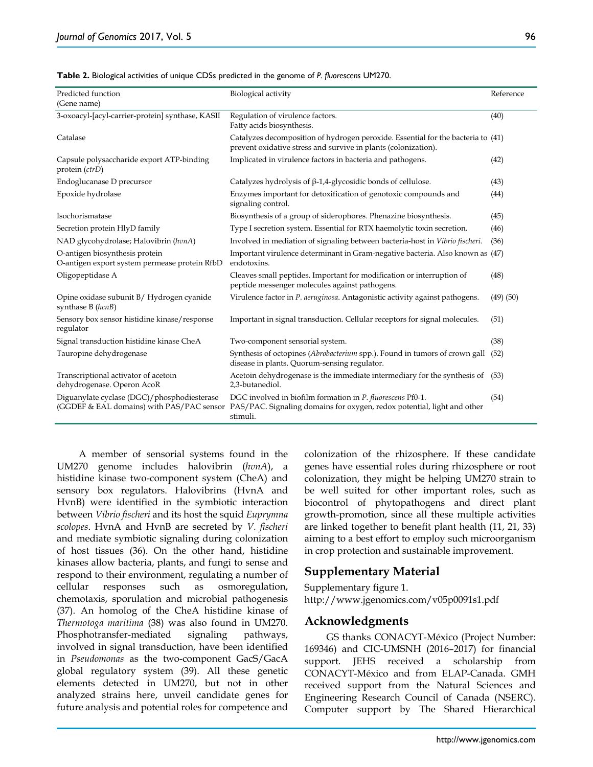| Table 2. Biological activities of unique CDSs predicted in the genome of P. fluorescens UM270. |  |  |
|------------------------------------------------------------------------------------------------|--|--|
|------------------------------------------------------------------------------------------------|--|--|

| Predicted function                                                              | Biological activity                                                                                                                                                                         | Reference     |
|---------------------------------------------------------------------------------|---------------------------------------------------------------------------------------------------------------------------------------------------------------------------------------------|---------------|
| (Gene name)                                                                     |                                                                                                                                                                                             |               |
| 3-oxoacyl-[acyl-carrier-protein] synthase, KASII                                | Regulation of virulence factors.<br>Fatty acids biosynthesis.                                                                                                                               | (40)          |
| Catalase                                                                        | Catalyzes decomposition of hydrogen peroxide. Essential for the bacteria to (41)<br>prevent oxidative stress and survive in plants (colonization).                                          |               |
| Capsule polysaccharide export ATP-binding<br>protein (ctrD)                     | Implicated in virulence factors in bacteria and pathogens.                                                                                                                                  | (42)          |
| Endoglucanase D precursor                                                       | Catalyzes hydrolysis of $\beta$ -1,4-glycosidic bonds of cellulose.                                                                                                                         | (43)          |
| Epoxide hydrolase                                                               | Enzymes important for detoxification of genotoxic compounds and<br>signaling control.                                                                                                       | (44)          |
| Isochorismatase                                                                 | Biosynthesis of a group of siderophores. Phenazine biosynthesis.                                                                                                                            | (45)          |
| Secretion protein HlyD family                                                   | Type I secretion system. Essential for RTX haemolytic toxin secretion.                                                                                                                      | (46)          |
| NAD glycohydrolase; Halovibrin (hvnA)                                           | Involved in mediation of signaling between bacteria-host in Vibrio fischeri.                                                                                                                | (36)          |
| O-antigen biosynthesis protein<br>O-antigen export system permease protein RfbD | Important virulence determinant in Gram-negative bacteria. Also known as (47)<br>endotoxins.                                                                                                |               |
| Oligopeptidase A                                                                | Cleaves small peptides. Important for modification or interruption of<br>peptide messenger molecules against pathogens.                                                                     | (48)          |
| Opine oxidase subunit B/Hydrogen cyanide<br>synthase B (hcnB)                   | Virulence factor in P. aeruginosa. Antagonistic activity against pathogens.                                                                                                                 | $(49)$ $(50)$ |
| Sensory box sensor histidine kinase/response<br>regulator                       | Important in signal transduction. Cellular receptors for signal molecules.                                                                                                                  | (51)          |
| Signal transduction histidine kinase CheA                                       | Two-component sensorial system.                                                                                                                                                             | (38)          |
| Tauropine dehydrogenase                                                         | Synthesis of octopines (Abrobacterium spp.). Found in tumors of crown gall<br>disease in plants. Quorum-sensing regulator.                                                                  | (52)          |
| Transcriptional activator of acetoin<br>dehydrogenase. Operon AcoR              | Acetoin dehydrogenase is the immediate intermediary for the synthesis of<br>2,3-butanediol.                                                                                                 | (53)          |
| Diguanylate cyclase (DGC)/phosphodiesterase                                     | DGC involved in biofilm formation in P. fluorescens Pf0-1.<br>(GGDEF & EAL domains) with PAS/PAC sensor PAS/PAC. Signaling domains for oxygen, redox potential, light and other<br>stimuli. | (54)          |

A member of sensorial systems found in the UM270 genome includes halovibrin (*hvnA*), a histidine kinase two-component system (CheA) and sensory box regulators. Halovibrins (HvnA and HvnB) were identified in the symbiotic interaction between *Vibrio fischeri* and its host the squid *Euprymna scolopes*. HvnA and HvnB are secreted by *V. fischeri* and mediate symbiotic signaling during colonization of host tissues (36). On the other hand, histidine kinases allow bacteria, plants, and fungi to sense and respond to their environment, regulating a number of cellular responses such as osmoregulation, chemotaxis, sporulation and microbial pathogenesis (37). An homolog of the CheA histidine kinase of *Thermotoga maritima* (38) was also found in UM270. Phosphotransfer-mediated signaling pathways, involved in signal transduction, have been identified in *Pseudomonas* as the two-component GacS/GacA global regulatory system (39). All these genetic elements detected in UM270, but not in other analyzed strains here, unveil candidate genes for future analysis and potential roles for competence and

colonization of the rhizosphere. If these candidate genes have essential roles during rhizosphere or root colonization, they might be helping UM270 strain to be well suited for other important roles, such as biocontrol of phytopathogens and direct plant growth-promotion, since all these multiple activities are linked together to benefit plant health (11, 21, 33) aiming to a best effort to employ such microorganism in crop protection and sustainable improvement.

## **Supplementary Material**

Supplementary figure 1. http://www.jgenomics.com/v05p0091s1.pdf

## **Acknowledgments**

GS thanks CONACYT-México (Project Number: 169346) and CIC-UMSNH (2016–2017) for financial support. JEHS received a scholarship from CONACYT-México and from ELAP-Canada. GMH received support from the Natural Sciences and Engineering Research Council of Canada (NSERC). Computer support by The Shared Hierarchical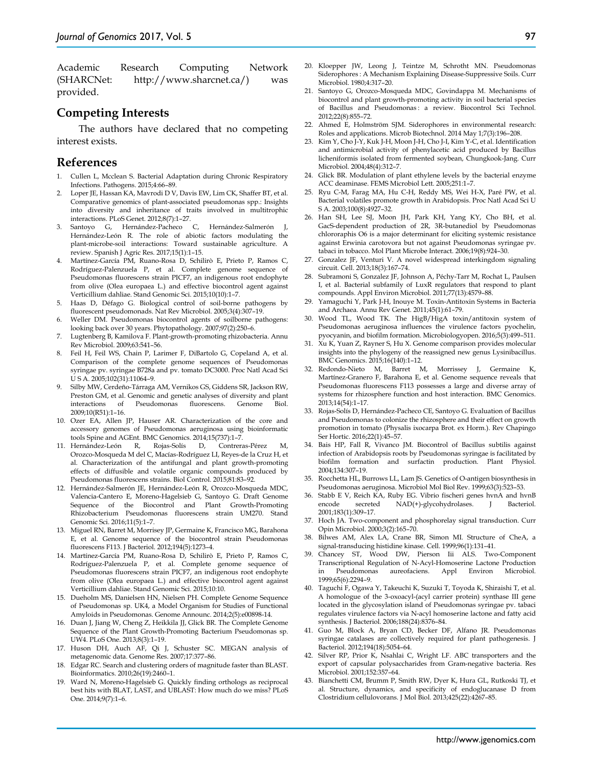Academic Research Computing Network (SHARCNet: http://www.sharcnet.ca/) was provided.

### **Competing Interests**

The authors have declared that no competing interest exists.

### **References**

- 1. Cullen L, Mcclean S. Bacterial Adaptation during Chronic Respiratory Infections. Pathogens. 2015;4:66–89.
- Loper JE, Hassan KA, Mavrodi D V, Davis EW, Lim CK, Shaffer BT, et al. Comparative genomics of plant-associated pseudomonas spp.: Insights into diversity and inheritance of traits involved in multitrophic interactions. PLoS Genet. 2012;8(7):1–27.
- 3. Santoyo G, Hernández-Pacheco C, Hernández-Salmerón J, Hernández-León R. The role of abiotic factors modulating the plant-microbe-soil interactions: Toward sustainable agriculture. A review. Spanish J Agric Res. 2017;15(1):1–15.
- 4. Martínez-García PM, Ruano-Rosa D, Schilirò E, Prieto P, Ramos C, Rodríguez-Palenzuela P, et al. Complete genome sequence of Pseudomonas fluorescens strain PICF7, an indigenous root endophyte from olive (Olea europaea L.) and effective biocontrol agent against Verticillium dahliae. Stand Genomic Sci. 2015;10(10):1–7.
- 5. Haas D, Défago G. Biological control of soil-borne pathogens by fluorescent pseudomonads. Nat Rev Microbiol. 2005;3(4):307–19.
- 6. Weller DM. Pseudomonas biocontrol agents of soilborne pathogens: looking back over 30 years. Phytopathology. 2007;97(2):250–6.
- 7. Lugtenberg B, Kamilova F. Plant-growth-promoting rhizobacteria. Annu Rev Microbiol. 2009;63:541–56.
- 8. Feil H, Feil WS, Chain P, Larimer F, DiBartolo G, Copeland A, et al. Comparison of the complete genome sequences of Pseudomonas syringae pv. syringae B728a and pv. tomato DC3000. Proc Natl Acad Sci U S A. 2005;102(31):11064–9.
- 9. Silby MW, Cerdeño-Tárraga AM, Vernikos GS, Giddens SR, Jackson RW, Preston GM, et al. Genomic and genetic analyses of diversity and plant interactions of Pseudomonas fluorescens. Genome Biol. interactions of Pseudomonas fluorescens. Genome Biol. 2009;10(R51):1–16.
- 10. Ozer EA, Allen JP, Hauser AR. Characterization of the core and accessory genomes of Pseudomonas aeruginosa using bioinformatic tools Spine and AGEnt. BMC Genomics. 2014;15(737):1–7.
- 11. Hernández-León R, Rojas-Solís D, Contreras-Pérez M, Orozco-Mosqueda M del C, Macías-Rodríguez LI, Reyes-de la Cruz H, et al. Characterization of the antifungal and plant growth-promoting effects of diffusible and volatile organic compounds produced by Pseudomonas fluorescens strains. Biol Control. 2015;81:83–92.
- 12. Hernández-Salmerón JE, Hernández-León R, Orozco-Mosqueda MDC, Valencia-Cantero E, Moreno-Hagelsieb G, Santoyo G. Draft Genome Sequence of the Biocontrol and Plant Growth-Promoting Rhizobacterium Pseudomonas fluorescens strain UM270. Stand Genomic Sci. 2016;11(5):1–7.
- 13. Miguel RN, Barret M, Morrisey JP, Germaine K, Francisco MG, Barahona E, et al. Genome sequence of the biocontrol strain Pseudomonas fluorescens F113. J Bacteriol. 2012;194(5):1273–4.
- 14. Martínez-García PM, Ruano-Rosa D, Schilirò E, Prieto P, Ramos C, Rodríguez-Palenzuela P, et al. Complete genome sequence of Pseudomonas fluorescens strain PICF7, an indigenous root endophyte from olive (Olea europaea L.) and effective biocontrol agent against Verticillium dahliae. Stand Genomic Sci. 2015;10:10.
- 15. Dueholm MS, Danielsen HN, Nielsen PH. Complete Genome Sequence of Pseudomonas sp. UK4, a Model Organism for Studies of Functional Amyloids in Pseudomonas. Genome Announc. 2014;2(5):e00898-14.
- 16. Duan J, Jiang W, Cheng Z, Heikkila JJ, Glick BR. The Complete Genome Sequence of the Plant Growth-Promoting Bacterium Pseudomonas sp. UW4. PLoS One. 2013;8(3):1–19.
- 17. Huson DH, Auch AF, Qi J, Schuster SC. MEGAN analysis of metagenomic data. Genome Res. 2007;17:377–86.
- 18. Edgar RC. Search and clustering orders of magnitude faster than BLAST. Bioinformatics. 2010;26(19):2460–1.
- Ward N, Moreno-Hagelsieb G. Quickly finding orthologs as reciprocal best hits with BLAT, LAST, and UBLAST: How much do we miss? PLoS One. 2014;9(7):1–6.
- 20. Kloepper JW, Leong J, Teintze M, Schrotht MN. Pseudomonas Siderophores : A Mechanism Explaining Disease-Suppressive Soils. Curr Microbiol. 1980;4:317–20.
- 21. Santoyo G, Orozco-Mosqueda MDC, Govindappa M. Mechanisms of biocontrol and plant growth-promoting activity in soil bacterial species of Bacillus and Pseudomonas : a review. Biocontrol Sci Technol. 2012;22(8):855–72.
- 22. Ahmed E, Holmström SJM. Siderophores in environmental research: Roles and applications. Microb Biotechnol. 2014 May 1;7(3):196–208.
- 23. Kim Y, Cho J-Y, Kuk J-H, Moon J-H, Cho J-I, Kim Y-C, et al. Identification and antimicrobial activity of phenylacetic acid produced by Bacillus licheniformis isolated from fermented soybean, Chungkook-Jang. Curr Microbiol. 2004;48(4):312–7.
- 24. Glick BR. Modulation of plant ethylene levels by the bacterial enzyme ACC deaminase. FEMS Microbiol Lett. 2005;251:1–7.
- 25. Ryu C-M, Farag MA, Hu C-H, Reddy MS, Wei H-X, Paré PW, et al. Bacterial volatiles promote growth in Arabidopsis. Proc Natl Acad Sci U S A. 2003;100(8):4927–32.
- 26. Han SH, Lee SJ, Moon JH, Park KH, Yang KY, Cho BH, et al. GacS-dependent production of 2R, 3R-butanediol by Pseudomonas chlororaphis O6 is a major determinant for eliciting systemic resistance against Erwinia carotovora but not against Pseudomonas syringae pv. tabaci in tobacco. Mol Plant Microbe Interact. 2006;19(8):924–30.
- 27. Gonzalez JF, Venturi V. A novel widespread interkingdom signaling circuit. Cell. 2013;18(3):167–74.
- 28. Subramoni S, Gonzalez JF, Johnson A, Péchy-Tarr M, Rochat L, Paulsen I, et al. Bacterial subfamily of LuxR regulators that respond to plant compounds. Appl Environ Microbiol. 2011;77(13):4579–88.
- 29. Yamaguchi Y, Park J-H, Inouye M. Toxin-Antitoxin Systems in Bacteria and Archaea. Annu Rev Genet. 2011;45(1):61–79.
- 30. Wood TL, Wood TK. The HigB/HigA toxin/antitoxin system of Pseudomonas aeruginosa influences the virulence factors pyochelin, pyocyanin, and biofilm formation. Microbiologyopen. 2016;5(3):499–511.
- 31. Xu K, Yuan Z, Rayner S, Hu X. Genome comparison provides molecular insights into the phylogeny of the reassigned new genus Lysinibacillus. BMC Genomics. 2015;16(140):1–12.
- 32. Redondo-Nieto M, Barret M, Morrissey J, Germaine Martínez-Granero F, Barahona E, et al. Genome sequence reveals that Pseudomonas fluorescens F113 possesses a large and diverse array of systems for rhizosphere function and host interaction. BMC Genomics. 2013;14(54):1–17.
- 33. Rojas-Solís D, Hernández-Pacheco CE, Santoyo G. Evaluation of Bacillus and Pseudomonas to colonize the rhizosphere and their effect on growth promotion in tomato (Physalis ixocarpa Brot. ex Horm.). Rev Chapingo Ser Hortic. 2016;22(1):45–57.
- 34. Bais HP, Fall R, Vivanco JM. Biocontrol of Bacillus subtilis against infection of Arabidopsis roots by Pseudomonas syringae is facilitated by biofilm formation and surfactin production. Plant Physiol. 2004;134:307–19.
- 35. Rocchetta HL, Burrows LL, Lam JS. Genetics of O-antigen biosynthesis in Pseudomonas aeruginosa. Microbiol Mol Biol Rev. 1999;63(3):523–53.
- 36. Stabb E V, Reich KA, Ruby EG. Vibrio fischeri genes hvnA and hvnB encode secreted NAD(+)-glycohydrolases. J Bacteriol. 2001;183(1):309–17.
- 37. Hoch JA. Two-component and phosphorelay signal transduction. Curr Opin Microbiol. 2000;3(2):165–70.
- 38. Bilwes AM, Alex LA, Crane BR, Simon MI. Structure of CheA, a signal-transducing histidine kinase. Cell. 1999;96(1):131–41.
- 39. Chancey ST, Wood DW, Pierson Iii ALS. Two-Component Transcriptional Regulation of N-Acyl-Homoserine Lactone Production in Pseudomonas aureofaciens. Appl Environ Microbiol. 1999;65(6):2294–9.
- 40. Taguchi F, Ogawa Y, Takeuchi K, Suzuki T, Toyoda K, Shiraishi T, et al. A homologue of the 3-oxoacyl-(acyl carrier protein) synthase III gene located in the glycosylation island of Pseudomonas syringae pv. tabaci regulates virulence factors via N-acyl homoserine lactone and fatty acid synthesis. J Bacteriol. 2006;188(24):8376–84.
- 41. Guo M, Block A, Bryan CD, Becker DF, Alfano JR. Pseudomonas syringae catalases are collectively required for plant pathogenesis. J Bacteriol. 2012;194(18):5054–64.
- 42. Silver RP, Prior K, Nsahlai C, Wright LF. ABC transporters and the export of capsular polysaccharides from Gram-negative bacteria. Res Microbiol. 2001;152:357–64.
- 43. Bianchetti CM, Brumm P, Smith RW, Dyer K, Hura GL, Rutkoski TJ, et al. Structure, dynamics, and specificity of endoglucanase D from Clostridium cellulovorans. J Mol Biol. 2013;425(22):4267–85.